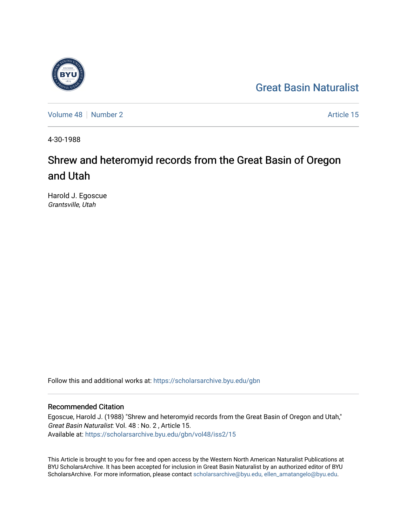## [Great Basin Naturalist](https://scholarsarchive.byu.edu/gbn)

[Volume 48](https://scholarsarchive.byu.edu/gbn/vol48) [Number 2](https://scholarsarchive.byu.edu/gbn/vol48/iss2) Article 15

4-30-1988

# Shrew and heteromyid records from the Great Basin of Oregon and Utah

Harold J. Egoscue Grantsville, Utah

Follow this and additional works at: [https://scholarsarchive.byu.edu/gbn](https://scholarsarchive.byu.edu/gbn?utm_source=scholarsarchive.byu.edu%2Fgbn%2Fvol48%2Fiss2%2F15&utm_medium=PDF&utm_campaign=PDFCoverPages) 

### Recommended Citation

Egoscue, Harold J. (1988) "Shrew and heteromyid records from the Great Basin of Oregon and Utah," Great Basin Naturalist: Vol. 48 : No. 2 , Article 15. Available at: [https://scholarsarchive.byu.edu/gbn/vol48/iss2/15](https://scholarsarchive.byu.edu/gbn/vol48/iss2/15?utm_source=scholarsarchive.byu.edu%2Fgbn%2Fvol48%2Fiss2%2F15&utm_medium=PDF&utm_campaign=PDFCoverPages) 

This Article is brought to you for free and open access by the Western North American Naturalist Publications at BYU ScholarsArchive. It has been accepted for inclusion in Great Basin Naturalist by an authorized editor of BYU ScholarsArchive. For more information, please contact [scholarsarchive@byu.edu, ellen\\_amatangelo@byu.edu.](mailto:scholarsarchive@byu.edu,%20ellen_amatangelo@byu.edu)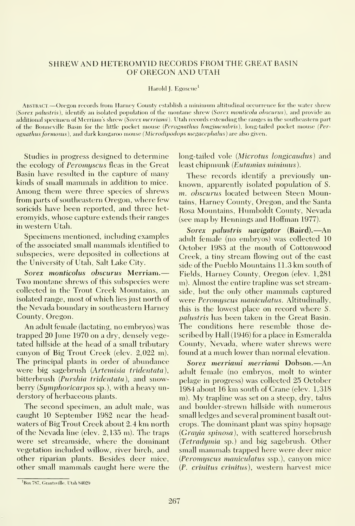#### SHREW AND HETEROMYID RECORDS FROM THE GREAT BASIN OF OREGON AND UTAH

#### Harold J. Egoseue<sup>1</sup>

Abstract —Oregon records from Harney County establish <sup>a</sup> minimum altitudinal occurrence for the water shrew (Sorex palustris), identify an isolated population of the montane shrew (Sorex monticola obscurus), and provide an additional specimen of Merriam's shrew (Sorex merriami). Utah records extending the ranges in the southeastern part of the Bonneville Basin for the little pocket mouse (Perognathus longimembris), long-tailed pocket mouse (Perognathus formosus), and dark kangaroo mouse (Microdipodops megacephalus) are also given.

Studies in progress designed to determine the ecology of Peromyscus fleas in the Great Basin have resulted in the capture of many kinds of small mammals in addition to mice. Among them were three species of shrews from parts of southeastern Oregon, where few soricids have been reported, and three het eromyids, whose capture extends their ranges in western Utah.

Specimens mentioned, including examples of the associated small mammals identified to subspecies, were deposited in collections at the University of Utah, Salt Lake City.

Sorex monticolus obscurus Merriam.— Two montane shrews of this subspecies were collected in the Trout Creek Mountains, an isolated range, most of which lies just north of the Nevada boundary in southeastern Harney County, Oregon.

An adult female (lactating, no embryos) was trapped 20 June 1970 on a dry, densely vegetated hillside at the head of a small tributary canyon of Big Trout Creek (elev. 2,022 m). The principal plants in order of abundance were big sagebrush (Artemisia tridentata), bitterbrush (Purshia tridentata), and snowberry (Symphoricarpos sp.), with a heavy understory of herbaceous plants.

The second specimen, an adult male, was caught 10 September 1982 near the headwaters of Big Trout Creek about 2.4 km north of the Nevada line (elev. 2,135 m). The traps were set streamside, where the dominant vegetation included willow, river birch, and other riparian plants. Besides deer mice, other small mammals caught here were the long-tailed vole *(Microtus longicaudus)* and least chipmunk (Eutamias minimus).

These records identify a previously un known, apparently isolated population of S. m. obscurus located between Steen Mountains, Harney County, Oregon, and the Santa Rosa Mountains, Humboldt County, Nevada (see map by Hennings and Hoffman 1977).

Sorex palustris navigator (Baird). —An adult female (no embryos) was collected 10 October 1983 at the mouth of Cottonwood Creek, a tiny stream flowing out of the east side of the Pueblo Mountains 11.3 km south of Fields, Harney County, Oregon (elev. 1,281 m). Almost the entire trapline was set streamside, but the only other mammals captured were Peromyscus maniculatus. Altitudinally, this is the lowest place on record where S. palustris has been taken in the Great Basin. The conditions here resemble those described by Hall (1946) for a place in Esmeralda County, Nevada, where water shrews were found at <sup>a</sup> much lower than normal elevation.

Sorex merriami merriami Dobson.—An adult female (no embryos, molt to winter pelage in progress) was collected 25 October 1984 about 16 km south of Crane (elev. 1,318 m). My trapline was set on <sup>a</sup> steep, dry, talus and boulder-strewn hillside with numerous small ledges and several prominent basalt outcrops. The dominant plant was spiny hopsage (Grayia spinosa), with scattered horsebrush (Tetradymia sp.) and big sagebrush. Other small mammals trapped here were deer mice (Pcromyscus manicidatus ssp.), canyon mice {P. crinitus crinitus), western harvest mice

<sup>&#</sup>x27;Box 787, Grantsville. Utah 84029